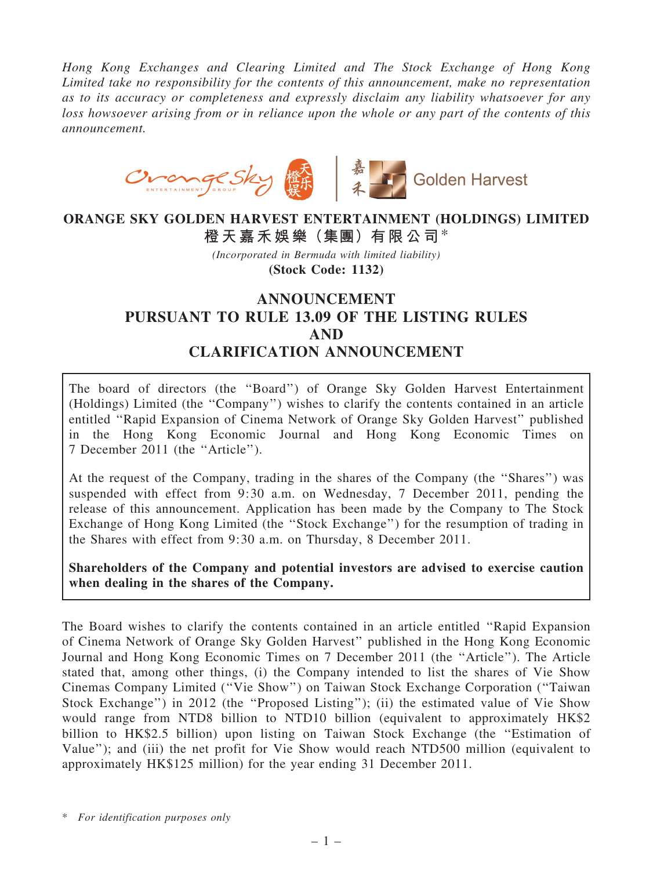Hong Kong Exchanges and Clearing Limited and The Stock Exchange of Hong Kong Limited take no responsibility for the contents of this announcement, make no representation as to its accuracy or completeness and expressly disclaim any liability whatsoever for any loss howsoever arising from or in reliance upon the whole or any part of the contents of this announcement.



## ORANGE SKY GOLDEN HARVEST ENTERTAINMENT (HOLDINGS) LIMITED 橙天嘉禾娛樂(集團)有限公司\*

(Incorporated in Bermuda with limited liability) (Stock Code: 1132)

## ANNOUNCEMENT PURSUANT TO RULE 13.09 OF THE LISTING RULES AND CLARIFICATION ANNOUNCEMENT

The board of directors (the ''Board'') of Orange Sky Golden Harvest Entertainment (Holdings) Limited (the ''Company'') wishes to clarify the contents contained in an article entitled ''Rapid Expansion of Cinema Network of Orange Sky Golden Harvest'' published in the Hong Kong Economic Journal and Hong Kong Economic Times on 7 December 2011 (the ''Article'').

At the request of the Company, trading in the shares of the Company (the ''Shares'') was suspended with effect from 9:30 a.m. on Wednesday, 7 December 2011, pending the release of this announcement. Application has been made by the Company to The Stock Exchange of Hong Kong Limited (the ''Stock Exchange'') for the resumption of trading in the Shares with effect from 9:30 a.m. on Thursday, 8 December 2011.

Shareholders of the Company and potential investors are advised to exercise caution when dealing in the shares of the Company.

The Board wishes to clarify the contents contained in an article entitled ''Rapid Expansion of Cinema Network of Orange Sky Golden Harvest'' published in the Hong Kong Economic Journal and Hong Kong Economic Times on 7 December 2011 (the ''Article''). The Article stated that, among other things, (i) the Company intended to list the shares of Vie Show Cinemas Company Limited (''Vie Show'') on Taiwan Stock Exchange Corporation (''Taiwan Stock Exchange'') in 2012 (the ''Proposed Listing''); (ii) the estimated value of Vie Show would range from NTD8 billion to NTD10 billion (equivalent to approximately HK\$2 billion to HK\$2.5 billion) upon listing on Taiwan Stock Exchange (the ''Estimation of Value''); and (iii) the net profit for Vie Show would reach NTD500 million (equivalent to approximately HK\$125 million) for the year ending 31 December 2011.

\* For identification purposes only